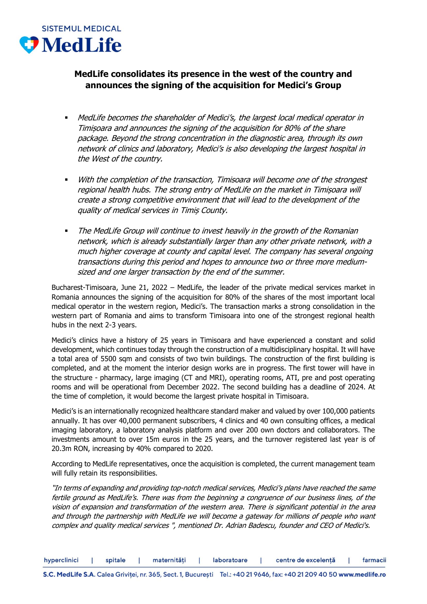

## **MedLife consolidates its presence in the west of the country and announces the signing of the acquisition for Medici's Group**

- MedLife becomes the shareholder of Medici's, the largest local medical operator in Timișoara and announces the signing of the acquisition for 80% of the share package. Beyond the strong concentration in the diagnostic area, through its own network of clinics and laboratory, Medici's is also developing the largest hospital in the West of the country.
- With the completion of the transaction, Timisoara will become one of the strongest regional health hubs. The strong entry of MedLife on the market in Timișoara will create a strong competitive environment that will lead to the development of the quality of medical services in Timiș County.
- **The MedLife Group will continue to invest heavily in the growth of the Romanian** network, which is already substantially larger than any other private network, with a much higher coverage at county and capital level. The company has several ongoing transactions during this period and hopes to announce two or three more mediumsized and one larger transaction by the end of the summer.

Bucharest-Timisoara, June 21, 2022 – MedLife, the leader of the private medical services market in Romania announces the signing of the acquisition for 80% of the shares of the most important local medical operator in the western region, Medici's. The transaction marks a strong consolidation in the western part of Romania and aims to transform Timisoara into one of the strongest regional health hubs in the next 2-3 years.

Medici's clinics have a history of 25 years in Timisoara and have experienced a constant and solid development, which continues today through the construction of a multidisciplinary hospital. It will have a total area of 5500 sqm and consists of two twin buildings. The construction of the first building is completed, and at the moment the interior design works are in progress. The first tower will have in the structure - pharmacy, large imaging (CT and MRI), operating rooms, ATI, pre and post operating rooms and will be operational from December 2022. The second building has a deadline of 2024. At the time of completion, it would become the largest private hospital in Timisoara.

Medici's is an internationally recognized healthcare standard maker and valued by over 100,000 patients annually. It has over 40,000 permanent subscribers, 4 clinics and 40 own consulting offices, a medical imaging laboratory, a laboratory analysis platform and over 200 own doctors and collaborators. The investments amount to over 15m euros in the 25 years, and the turnover registered last year is of 20.3m RON, increasing by 40% compared to 2020.

According to MedLife representatives, once the acquisition is completed, the current management team will fully retain its responsibilities.

"In terms of expanding and providing top-notch medical services, Medici's plans have reached the same fertile ground as MedLife's. There was from the beginning a congruence of our business lines, of the vision of expansion and transformation of the western area. There is significant potential in the area and through the partnership with MedLife we will become a gateway for millions of people who want complex and quality medical services ", mentioned Dr. Adrian Badescu, founder and CEO of Medici's.